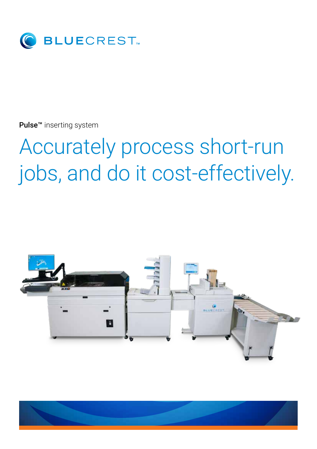

Pulse<sup>™</sup> inserting system

# Accurately process short-run jobs, and do it cost-effectively.



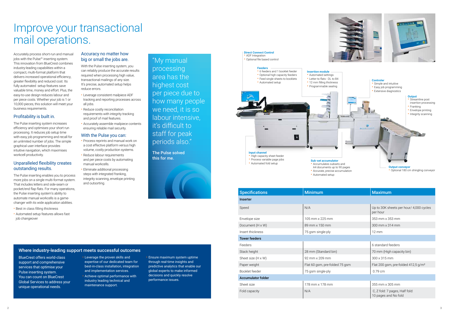

Accurately process short-run and manual jobs with the Pulse™ inserting system. This innovation from BlueCrest combines industry-leading capabilities within a compact, multi-format platform that delivers increased operational efficiency, greater flexibility and reduced cost. Its fully automated setup features save valuable time, money and effort. Plus, the easy-to-use design reduces labour and per piece costs. Whether your job is 1 or 10,000 pieces, this solution will meet your business requirements.

# Profitability is built in.

The Pulse inserting system increases efficiency and optimises your short run processing. It reduces job setup time with easy job programming and recall for an unlimited number of jobs. The simple graphical user interface provides intuitive navigation, which maximises workcell productivity.

## Unparalleled flexibility creates outstanding results.

The Pulse inserting enables you to process more jobs on a single multi-format system. That includes letters and side-seam or pocket/end flap flats. For many operations, the Pulse inserting system's ability to automate manual workcells is a gamechanger with its wide application abilities.

- Best in class filling thickness
- Automated setup features allows fast job changeover

### Accuracy no matter how big or small the jobs are.

With the Pulse inserting system, you can reliably produce the accurate results required when processing high value, transactional mailings of any size. It's precise, automated setup helps reduce errors.

- Leverage consistent mailpiece ADF tracking and reporting processes across all jobs.
- Reduce costly reconciliation requirements with integrity tracking and proof of mail features.
- Accurately assemble mailpiece contents ensuring reliable mail security.

#### With the Pulse you can:

#### **Direct Connect Control** • ADF Integration

#### **Input channel** • High capacity sheet feeder

- Process reprints and manual work on a cost effective platform versus high volume, costly production systems.
- Reduce labour requirements and per piece costs by automating manual workcells.
- Eliminate additional processing steps with integrated franking, integrity scanning, envelope printing and outsorting.

# Improve your transactional mail operations.

- support and comprehensive services that optimise your Pulse inserting system. You can count on BlueCrest Global Services to address your unique operational needs.
- expertise of our dedicated team for best-in-class installation, integration and implementation services.
- Achieve optimal performance with industry leading technical and maintenance support.

BlueCrest offers world-class • Leverage the proven skills and Where industry-leading support meets successful outcomes

• Ensure maximum system uptime through real-time insights and predictive analytics that enable our global experts to make informed decisions and quickly resolve performance issues.

| <b>Minimum</b>                 | <b>Maximum</b>                                         |
|--------------------------------|--------------------------------------------------------|
|                                |                                                        |
| N/A                            | Up to 30K sheets per hour/ 4,000 cycles<br>per hour    |
| 105 mm x 225 mm                | 353 mm x 353 mm                                        |
| 89 mm x 150 mm                 | 300 mm x 314 mm                                        |
| 75 gsm single-ply              | $12 \text{ mm}$                                        |
|                                |                                                        |
|                                | 6 standard feeders                                     |
| 28 mm (Standard bin)           | 70 mm (High capacity bin)                              |
| 92 mm x 209 mm                 | $300 \times 315$ mm                                    |
| Flat 60 gsm, pre-folded 75 gsm | Flat 200 gsm, pre-folded 412,5 g/m <sup>2</sup>        |
| 75 gsm single-ply              | 0.79 cm                                                |
|                                |                                                        |
| 178 mm x 178 mm                | 355 mm x 305 mm                                        |
| N/A                            | C, Z fold: 7 pages, Half fold:<br>10 pages and No fold |
|                                |                                                        |

#### **Feeders** • 6 feeders and 1 booklet feeder • Optional high capacity feeders

• Feed single sheets to booklets • Automated setup

• Optional file based control

#### **Insertion module** • Automated settings • Letter to flats - DL to B4

• 12 mm filling thickness • Programmable sealing





- Process variable page jobs
- Automated fold setup

**Sub-set accumulator** • Accumulates subsets and A4 documents up to 90 pages • Accurate, precise accumulation

• Automated setup

**Output conveyor** • Optional 180 cm shingling conveyor

"My manual processing area has the highest cost per piece due to how many people we need, it is so labour intensive, it's difficult to staff for peak periods also."

The Pulse solved this for me.